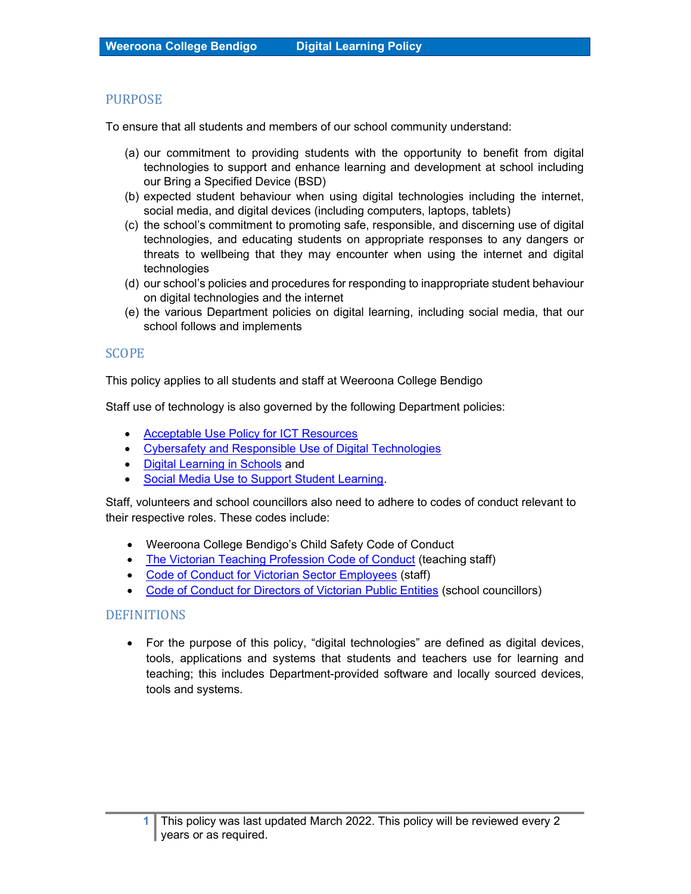## PURPOSE

To ensure that all students and members of our school community understand:

- (a) our commitment to providing students with the opportunity to benefit from digital technologies to support and enhance learning and development at school including our Bring a Specified Device (BSD)
- (b) expected student behaviour when using digital technologies including the internet, social media, and digital devices (including computers, laptops, tablets)
- (c) the school's commitment to promoting safe, responsible, and discerning use of digital technologies, and educating students on appropriate responses to any dangers or threats to wellbeing that they may encounter when using the internet and digital technologies
- (d) our school's policies and procedures for responding to inappropriate student behaviour on digital technologies and the internet
- (e) the various Department policies on digital learning, including social media, that our school follows and implements

## SCOPE

This policy applies to all students and staff at Weeroona College Bendigo

Staff use of technology is also governed by the following Department policies:

- Acceptable Use Policy for ICT Resources
- Cybersafety and Responsible Use of Digital Technologies
- Digital Learning in Schools and
- Social Media Use to Support Student Learning.

Staff, volunteers and school councillors also need to adhere to codes of conduct relevant to their respective roles. These codes include:

- Weeroona College Bendigo's Child Safety Code of Conduct
- The Victorian Teaching Profession Code of Conduct (teaching staff)
- Code of Conduct for Victorian Sector Employees (staff)
- Code of Conduct for Directors of Victorian Public Entities (school councillors)

# DEFINITIONS

 For the purpose of this policy, "digital technologies" are defined as digital devices, tools, applications and systems that students and teachers use for learning and teaching; this includes Department-provided software and locally sourced devices, tools and systems.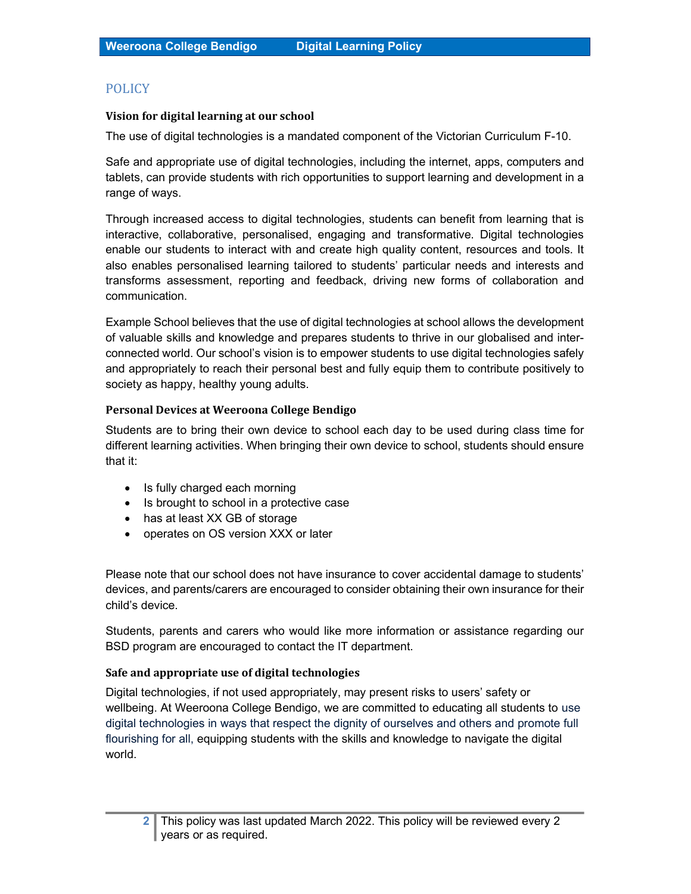# **POLICY**

### Vision for digital learning at our school

The use of digital technologies is a mandated component of the Victorian Curriculum F-10.

Safe and appropriate use of digital technologies, including the internet, apps, computers and tablets, can provide students with rich opportunities to support learning and development in a range of ways.

Through increased access to digital technologies, students can benefit from learning that is interactive, collaborative, personalised, engaging and transformative. Digital technologies enable our students to interact with and create high quality content, resources and tools. It also enables personalised learning tailored to students' particular needs and interests and transforms assessment, reporting and feedback, driving new forms of collaboration and communication.

Example School believes that the use of digital technologies at school allows the development of valuable skills and knowledge and prepares students to thrive in our globalised and interconnected world. Our school's vision is to empower students to use digital technologies safely and appropriately to reach their personal best and fully equip them to contribute positively to society as happy, healthy young adults.

### Personal Devices at Weeroona College Bendigo

Students are to bring their own device to school each day to be used during class time for different learning activities. When bringing their own device to school, students should ensure that it:

- Is fully charged each morning
- Is brought to school in a protective case
- has at least XX GB of storage
- operates on OS version XXX or later

Please note that our school does not have insurance to cover accidental damage to students' devices, and parents/carers are encouraged to consider obtaining their own insurance for their child's device.

Students, parents and carers who would like more information or assistance regarding our BSD program are encouraged to contact the IT department.

### Safe and appropriate use of digital technologies

Digital technologies, if not used appropriately, may present risks to users' safety or wellbeing. At Weeroona College Bendigo, we are committed to educating all students to use digital technologies in ways that respect the dignity of ourselves and others and promote full flourishing for all, equipping students with the skills and knowledge to navigate the digital world.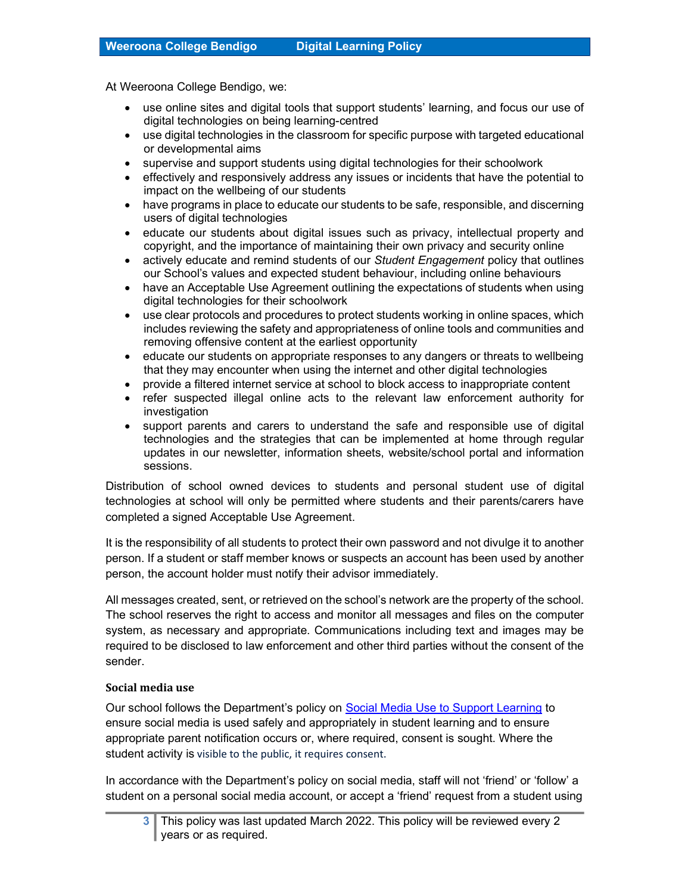At Weeroona College Bendigo, we:

- use online sites and digital tools that support students' learning, and focus our use of digital technologies on being learning-centred
- use digital technologies in the classroom for specific purpose with targeted educational or developmental aims
- supervise and support students using digital technologies for their schoolwork
- effectively and responsively address any issues or incidents that have the potential to impact on the wellbeing of our students
- have programs in place to educate our students to be safe, responsible, and discerning users of digital technologies
- educate our students about digital issues such as privacy, intellectual property and copyright, and the importance of maintaining their own privacy and security online
- actively educate and remind students of our Student Engagement policy that outlines our School's values and expected student behaviour, including online behaviours
- have an Acceptable Use Agreement outlining the expectations of students when using digital technologies for their schoolwork
- use clear protocols and procedures to protect students working in online spaces, which includes reviewing the safety and appropriateness of online tools and communities and removing offensive content at the earliest opportunity
- educate our students on appropriate responses to any dangers or threats to wellbeing that they may encounter when using the internet and other digital technologies
- provide a filtered internet service at school to block access to inappropriate content
- refer suspected illegal online acts to the relevant law enforcement authority for investigation
- support parents and carers to understand the safe and responsible use of digital technologies and the strategies that can be implemented at home through regular updates in our newsletter, information sheets, website/school portal and information sessions.

Distribution of school owned devices to students and personal student use of digital technologies at school will only be permitted where students and their parents/carers have completed a signed Acceptable Use Agreement.

It is the responsibility of all students to protect their own password and not divulge it to another person. If a student or staff member knows or suspects an account has been used by another person, the account holder must notify their advisor immediately.

All messages created, sent, or retrieved on the school's network are the property of the school. The school reserves the right to access and monitor all messages and files on the computer system, as necessary and appropriate. Communications including text and images may be required to be disclosed to law enforcement and other third parties without the consent of the sender.

#### Social media use

Our school follows the Department's policy on Social Media Use to Support Learning to ensure social media is used safely and appropriately in student learning and to ensure appropriate parent notification occurs or, where required, consent is sought. Where the student activity is visible to the public, it requires consent.

In accordance with the Department's policy on social media, staff will not 'friend' or 'follow' a student on a personal social media account, or accept a 'friend' request from a student using

<sup>3</sup> This policy was last updated March 2022. This policy will be reviewed every 2 years or as required.